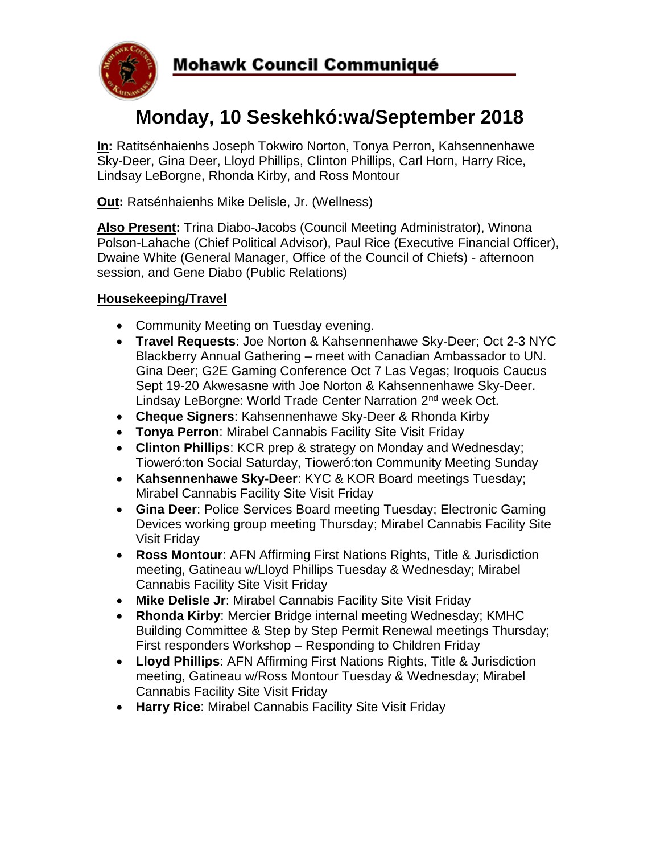

# **Mohawk Council Communiqué**

# **Monday, 10 Seskehkó:wa/September 2018**

**In:** Ratitsénhaienhs Joseph Tokwiro Norton, Tonya Perron, Kahsennenhawe Sky-Deer, Gina Deer, Lloyd Phillips, Clinton Phillips, Carl Horn, Harry Rice, Lindsay LeBorgne, Rhonda Kirby, and Ross Montour

**Out:** Ratsénhaienhs Mike Delisle, Jr. (Wellness)

**Also Present:** Trina Diabo-Jacobs (Council Meeting Administrator), Winona Polson-Lahache (Chief Political Advisor), Paul Rice (Executive Financial Officer), Dwaine White (General Manager, Office of the Council of Chiefs) - afternoon session, and Gene Diabo (Public Relations)

## **Housekeeping/Travel**

- Community Meeting on Tuesday evening.
- **Travel Requests**: Joe Norton & Kahsennenhawe Sky-Deer; Oct 2-3 NYC Blackberry Annual Gathering – meet with Canadian Ambassador to UN. Gina Deer; G2E Gaming Conference Oct 7 Las Vegas; Iroquois Caucus Sept 19-20 Akwesasne with Joe Norton & Kahsennenhawe Sky-Deer. Lindsay LeBorgne: World Trade Center Narration 2<sup>nd</sup> week Oct.
- **Cheque Signers**: Kahsennenhawe Sky-Deer & Rhonda Kirby
- **Tonya Perron**: Mirabel Cannabis Facility Site Visit Friday
- **Clinton Phillips**: KCR prep & strategy on Monday and Wednesday; Tioweró:ton Social Saturday, Tioweró:ton Community Meeting Sunday
- **Kahsennenhawe Sky-Deer**: KYC & KOR Board meetings Tuesday; Mirabel Cannabis Facility Site Visit Friday
- **Gina Deer**: Police Services Board meeting Tuesday; Electronic Gaming Devices working group meeting Thursday; Mirabel Cannabis Facility Site Visit Friday
- **Ross Montour**: AFN Affirming First Nations Rights, Title & Jurisdiction meeting, Gatineau w/Lloyd Phillips Tuesday & Wednesday; Mirabel Cannabis Facility Site Visit Friday
- **Mike Delisle Jr**: Mirabel Cannabis Facility Site Visit Friday
- **Rhonda Kirby**: Mercier Bridge internal meeting Wednesday; KMHC Building Committee & Step by Step Permit Renewal meetings Thursday; First responders Workshop – Responding to Children Friday
- **Lloyd Phillips**: AFN Affirming First Nations Rights, Title & Jurisdiction meeting, Gatineau w/Ross Montour Tuesday & Wednesday; Mirabel Cannabis Facility Site Visit Friday
- **Harry Rice**: Mirabel Cannabis Facility Site Visit Friday